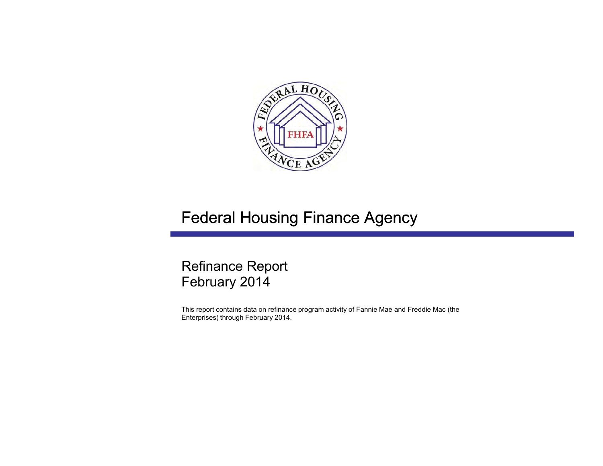

# Federal Housing Finance Agency

# Refinance Report February 2014

This report contains data on refinance program activity of Fannie Mae and Freddie Mac (the Enterprises) through February 2014.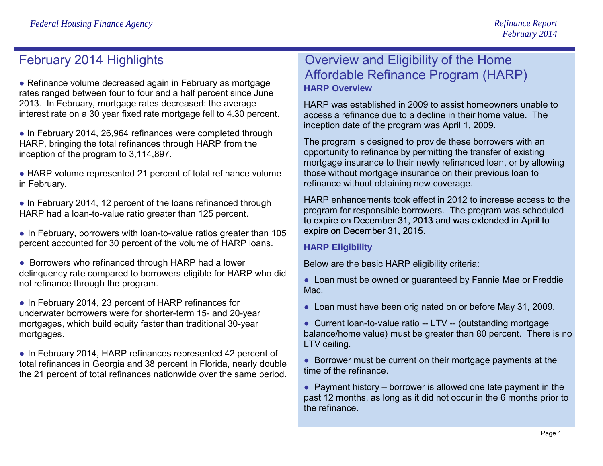## February 2014 Highlights

● Refinance volume decreased again in February as mortgage rates ranged between four to four and a half percent since June 2013. In February, mortgage rates decreased: the average interest rate on a 30 year fixed rate mortgage fell to 4.30 percent.

• In February 2014, 26,964 refinances were completed through HARP, bringing the total refinances through HARP from the inception of the program to 3,114,897.

● HARP volume represented 21 percent of total refinance volume in February.

• In February 2014, 12 percent of the loans refinanced through HARP had a loan-to-value ratio greater than 125 percent.

• In February, borrowers with loan-to-value ratios greater than 105 percent accounted for 30 percent of the volume of HARP loans.

● Borrowers who refinanced through HARP had a lower delinquency rate compared to borrowers eligible for HARP who did not refinance through the program.

● In February 2014, 23 percent of HARP refinances for underwater borrowers were for shorter-term 15- and 20-year mortgages, which build equity faster than traditional 30-year mortgages.

• In February 2014, HARP refinances represented 42 percent of total refinances in Georgia and 38 percent in Florida, nearly double the 21 percent of total refinances nationwide over the same period.

### Overview and Eligibility of the Home Affordable Refinance Program (HARP) **HARP Overview**

HARP was established in 2009 to assist homeowners unable to access a refinance due to a decline in their home value. The inception date of the program was April 1, 2009.

The program is designed to provide these borrowers with an opportunity to refinance by permitting the transfer of existing mortgage insurance to their newly refinanced loan, or by allowing those without mortgage insurance on their previous loan to refinance without obtaining new coverage.

HARP enhancements took effect in 2012 to increase access to the program for responsible borrowers. The program was scheduled to expire on December 31, 2013 and was extended in April to expire on December 31, 2015.

### **HARP Eligibility**

Below are the basic HARP eligibility criteria:

● Loan must be owned or guaranteed by Fannie Mae or Freddie Mac.

- Loan must have been originated on or before May 31, 2009.
- Current loan-to-value ratio -- LTV -- (outstanding mortgage balance/home value) must be greater than 80 percent. There is no LTV ceiling.

● Borrower must be current on their mortgage payments at the time of the refinance.

 $\bullet$  Payment history – borrower is allowed one late payment in the past 12 months, as long as it did not occur in the 6 months prior to the refinance.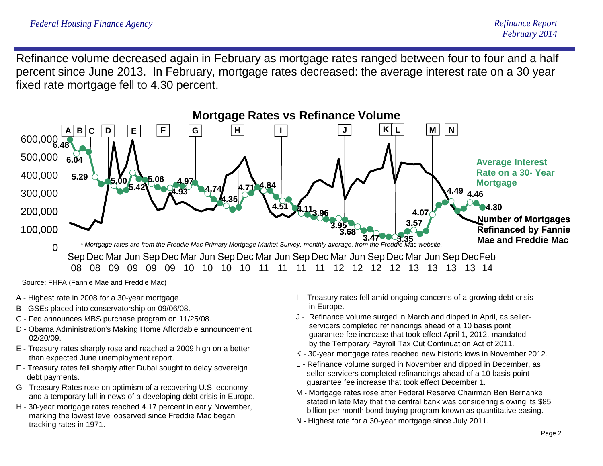Refinance volume decreased again in February as mortgage rates ranged between four to four and a half percent since June 2013. In February, mortgage rates decreased: the average interest rate on a 30 year fixed rate mortgage fell to 4.30 percent.



- A Highest rate in 2008 for a 30-year mortgage.
- B GSEs placed into conservatorship on 09/06/08.
- C Fed announces MBS purchase program on 11/25/08.
- D Obama Administration's Making Home Affordable announcement 02/20/09.
- E Treasury rates sharply rose and reached a 2009 high on a better than expected June unemployment report.
- F Treasury rates fell sharply after Dubai sought to delay sovereign debt payments.
- G Treasury Rates rose on optimism of a recovering U.S. economy and a temporary lull in news of a developing debt crisis in Europe.
- H 30-year mortgage rates reached 4.17 percent in early November, marking the lowest level observed since Freddie Mac began tracking rates in 1971.
- I Treasury rates fell amid ongoing concerns of a growing debt crisis in Europe.
- J Refinance volume surged in March and dipped in April, as sellerservicers completed refinancings ahead of a 10 basis point guarantee fee increase that took effect April 1, 2012, mandated by the Temporary Payroll Tax Cut Continuation Act of 2011.
- K 30-year mortgage rates reached new historic lows in November 2012.
- L Refinance volume surged in November and dipped in December, as seller servicers completed refinancings ahead of a 10 basis point guarantee fee increase that took effect December 1.
- M Mortgage rates rose after Federal Reserve Chairman Ben Bernanke stated in late May that the central bank was considering slowing its \$85 billion per month bond buying program known as quantitative easing.
- N Highest rate for a 30-year mortgage since July 2011.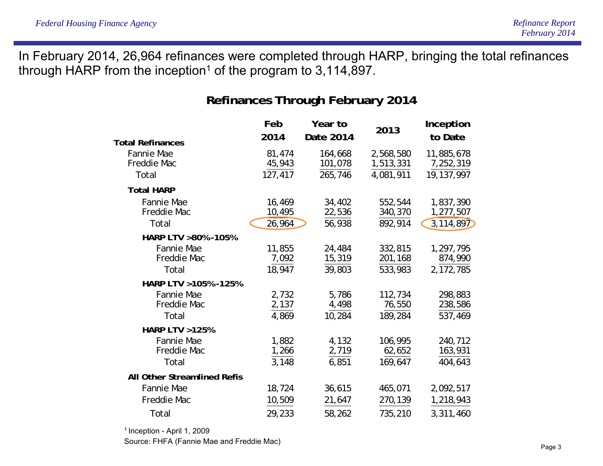In February 2014, 26,964 refinances were completed through HARP, bringing the total refinances through HARP from the inception<sup>1</sup> of the program to  $3,114,897$ .

### **Refinances Through February 2014**

|                                           | Feb                         | Year to                       | 2013                                | Inception                             |  |  |
|-------------------------------------------|-----------------------------|-------------------------------|-------------------------------------|---------------------------------------|--|--|
| <b>Total Refinances</b>                   | 2014                        | Date 2014                     |                                     | to Date                               |  |  |
| <b>Fannie Mae</b><br>Freddie Mac<br>Total | 81,474<br>45,943<br>127,417 | 164,668<br>101,078<br>265,746 | 2,568,580<br>1,513,331<br>4,081,911 | 11,885,678<br>7,252,319<br>19,137,997 |  |  |
| <b>Total HARP</b>                         |                             |                               |                                     |                                       |  |  |
| <b>Fannie Mae</b><br>Freddie Mac<br>Total | 16,469<br>10,495<br>26,964  | 34,402<br>22,536<br>56,938    | 552,544<br>340,370<br>892,914       | 1,837,390<br>1,277,507<br>3,114,897   |  |  |
| HARP LTV >80% -105%                       |                             |                               |                                     |                                       |  |  |
| Fannie Mae<br>Freddie Mac<br>Total        | 11,855<br>7,092<br>18,947   | 24,484<br>15,319<br>39,803    | 332,815<br>201,168<br>533,983       | 1,297,795<br>874,990<br>2,172,785     |  |  |
| HARP LTV > 105% - 125%                    |                             |                               |                                     |                                       |  |  |
| Fannie Mae<br>Freddie Mac<br>Total        | 2,732<br>2,137<br>4,869     | 5,786<br>4,498<br>10,284      | 112,734<br>76,550<br>189,284        | 298,883<br>238,586<br>537,469         |  |  |
| <b>HARP LTV &gt;125%</b>                  |                             |                               |                                     |                                       |  |  |
| <b>Fannie Mae</b><br>Freddie Mac<br>Total | 1,882<br>1,266<br>3,148     | 4,132<br>2,719<br>6,851       | 106,995<br>62,652<br>169,647        | 240,712<br>163,931<br>404,643         |  |  |
| <b>All Other Streamlined Refis</b>        |                             |                               |                                     |                                       |  |  |
| Fannie Mae                                | 18,724                      | 36,615                        | 465,071                             | 2,092,517                             |  |  |
| Freddie Mac                               | 10,509                      | 21,647                        | 270,139                             | 1,218,943                             |  |  |
| Total                                     | 29,233                      | 58,262                        | 735,210                             | 3,311,460                             |  |  |

1 Inception - April 1, 2009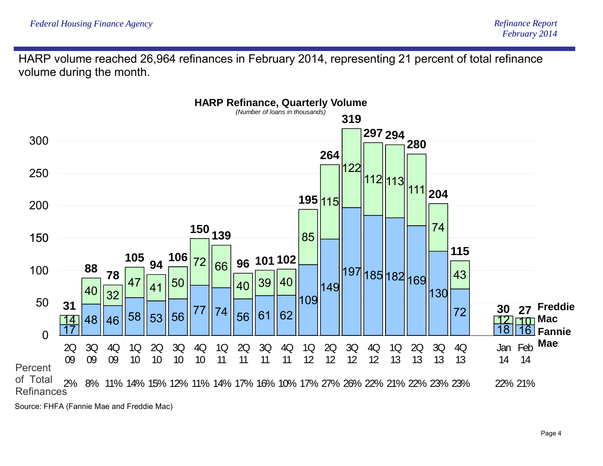HARP volume reached 26,964 refinances in February 2014, representing 21 percent of total refinance volume during the month.

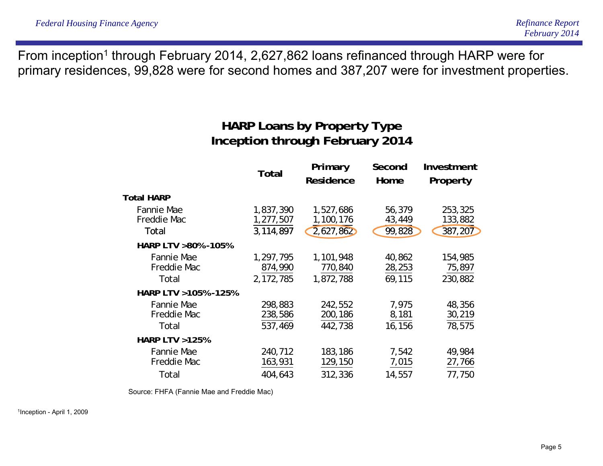From inception<sup>1</sup> through February 2014, 2,627,862 loans refinanced through HARP were for primary residences, 99,828 were for second homes and 387,207 were for investment properties.

# **HARP Loans by Property Type Inception through February 2014**

|                                           | Total                               | Primary<br>Residence                | Second<br>Home             | Investment<br>Property        |
|-------------------------------------------|-------------------------------------|-------------------------------------|----------------------------|-------------------------------|
| <b>Total HARP</b>                         |                                     |                                     |                            |                               |
| Fannie Mae<br>Freddie Mac<br>Total        | 1,837,390<br>1,277,507<br>3,114,897 | 1,527,686<br>1,100,176<br>2,627,862 | 56,379<br>43,449<br>99,828 | 253,325<br>133,882<br>387,207 |
| HARP LTV >80% -105%                       |                                     |                                     |                            |                               |
| Fannie Mae<br>Freddie Mac<br>Total        | 1,297,795<br>874,990<br>2,172,785   | 1,101,948<br>770,840<br>1,872,788   | 40,862<br>28,253<br>69,115 | 154,985<br>75,897<br>230,882  |
| HARP LTV > 105% - 125%                    |                                     |                                     |                            |                               |
| <b>Fannie Mae</b><br>Freddie Mac<br>Total | 298,883<br>238,586<br>537,469       | 242,552<br>200,186<br>442,738       | 7,975<br>8,181<br>16,156   | 48,356<br>30,219<br>78,575    |
| <b>HARP LTV &gt;125%</b>                  |                                     |                                     |                            |                               |
| <b>Fannie Mae</b><br>Freddie Mac          | 240,712<br>163,931                  | 183,186<br>129,150                  | 7,542<br>7,015             | 49,984<br>27,766              |
| Total                                     | 404,643                             | 312,336                             | 14,557                     | 77,750                        |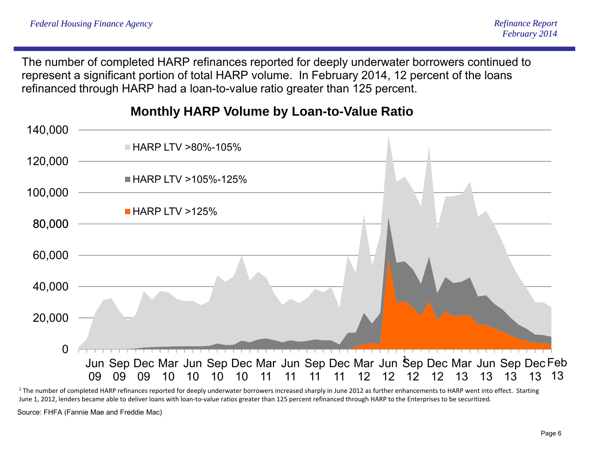The number of completed HARP refinances reported for deeply underwater borrowers continued to represent a significant portion of total HARP volume. In February 2014, 12 percent of the loans refinanced through HARP had a loan-to-value ratio greater than 125 percent.



**Monthly HARP Volume by Loan-to-Value Ratio**

 $^1$  The number of completed HARP refinances reported for deeply underwater borrowers increased sharply in June 2012 as further enhancements to HARP went into effect. Starting June 1, 2012, lenders became able to deliver loans with loan‐to‐value ratios greater than 125 percent refinanced through HARP to the Enterprises to be securitized.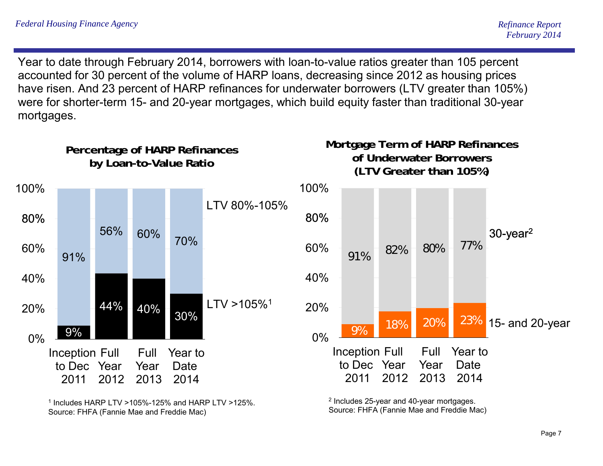Year to date through February 2014, borrowers with loan-to-value ratios greater than 105 percent accounted for 30 percent of the volume of HARP loans, decreasing since 2012 as housing prices have risen. And 23 percent of HARP refinances for underwater borrowers (LTV greater than 105%) were for shorter-term 15- and 20-year mortgages, which build equity faster than traditional 30-year mortgages.



 $^1$  Includes HARP LTV >105%-125% and HARP LTV >125%. Source: FHFA (Fannie Mae and Freddie Mac)

<sup>2</sup> Includes 25-year and 40-year mortgages. Source: FHFA (Fannie Mae and Freddie Mac)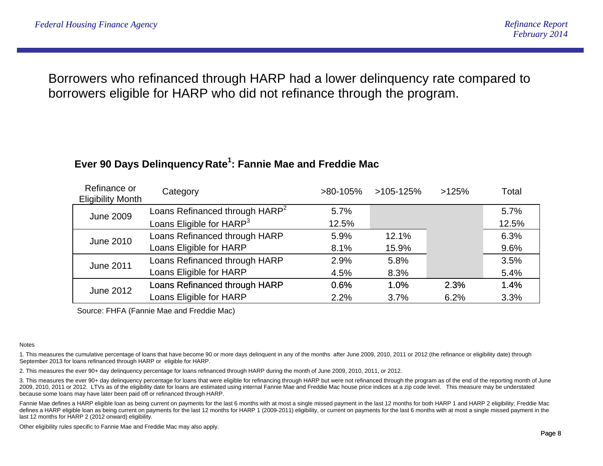Borrowers who refinanced through HARP had a lower delinquency rate compared to borrowers eligible for HARP who did not refinance through the program.

### **Ever 90 Days Delinquency Rate :1 Fannie Mae and Freddie Mac**

| Refinance or<br><b>Eligibility Month</b> | Category                                   | $>80-105%$ | $>105-125%$ | >125% | Total |
|------------------------------------------|--------------------------------------------|------------|-------------|-------|-------|
| <b>June 2009</b>                         | Loans Refinanced through HARP <sup>2</sup> | 5.7%       |             |       | 5.7%  |
|                                          | Loans Eligible for HARP <sup>3</sup>       | 12.5%      |             |       | 12.5% |
| <b>June 2010</b>                         | Loans Refinanced through HARP              | 5.9%       | 12.1%       |       | 6.3%  |
|                                          | Loans Eligible for HARP                    | 8.1%       | 15.9%       |       | 9.6%  |
| <b>June 2011</b>                         | Loans Refinanced through HARP              | 2.9%       | 5.8%        |       | 3.5%  |
|                                          | Loans Eligible for HARP                    | 4.5%       | 8.3%        |       | 5.4%  |
| <b>June 2012</b>                         | Loans Refinanced through HARP              | 0.6%       | 1.0%        | 2.3%  | 1.4%  |
|                                          | Loans Eligible for HARP                    | 2.2%       | 3.7%        | 6.2%  | 3.3%  |

Source: FHFA (Fannie Mae and Freddie Mac)

#### **Notes**

1. This measures the cumulative percentage of loans that have become 90 or more days delinquent in any of the months after June 2009, 2010, 2011 or 2012 (the refinance or eligibility date) through September 2013 for loans refinanced through HARP or eligible for HARP.

2. This measures the ever 90+ day delinquency percentage for loans refinanced through HARP during the month of June 2009, 2010, 2011, or 2012.

3. This measures the ever 90+ day delinquency percentage for loans that were eligible for refinancing through HARP but were not refinanced through the program as of the end of the reporting month of June 2009, 2010, 2011 or 2012. LTVs as of the eligibility date for loans are estimated using internal Fannie Mae and Freddie Mac house price indices at a zip code level. This measure may be understated because some loans may have later been paid off or refinanced through HARP.

Fannie Mae defines a HARP eligible loan as being current on payments for the last 6 months with at most a single missed payment in the last 12 months for both HARP 1 and HARP 2 eligibility; Freddie Mac defines a HARP eligible loan as being current on payments for the last 12 months for HARP 1 (2009-2011) eligibility, or current on payments for the last 6 months with at most a single missed payment in the last 12 months for HARP 2 (2012 onward) eligibility.

Other eligibility rules specific to Fannie Mae and Freddie Mac may also apply.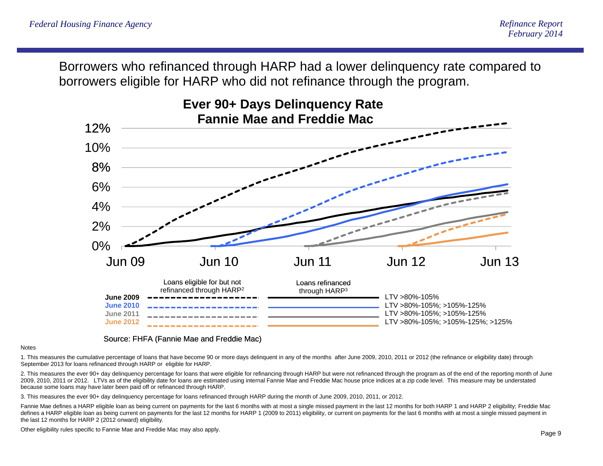Borrowers who refinanced through HARP had a lower delinquency rate compared to borrowers eligible for HARP who did not refinance through the program.



#### Source: FHFA (Fannie Mae and Freddie Mac)

#### **Notes**

1. This measures the cumulative percentage of loans that have become 90 or more days delinquent in any of the months after June 2009, 2010, 2011 or 2012 (the refinance or eligibility date) through September 2013 for loans refinanced through HARP or eligible for HARP.

2. This measures the ever 90+ day delinquency percentage for loans that were eligible for refinancing through HARP but were not refinanced through the program as of the end of the reporting month of June 2009, 2010, 2011 or 2012. LTVs as of the eligibility date for loans are estimated using internal Fannie Mae and Freddie Mac house price indices at a zip code level. This measure may be understated because some loans may have later been paid off or refinanced through HARP.

3. This measures the ever 90+ day delinquency percentage for loans refinanced through HARP during the month of June 2009, 2010, 2011, or 2012.

Fannie Mae defines a HARP eligible loan as being current on payments for the last 6 months with at most a single missed payment in the last 12 months for both HARP 1 and HARP 2 eligibility; Freddie Mac defines a HARP eligible loan as being current on payments for the last 12 months for HARP 1 (2009 to 2011) eligibility, or current on payments for the last 6 months with at most a single missed payment in the last 12 months for HARP 2 (2012 onward) eligibility.

Other eligibility rules specific to Fannie Mae and Freddie Mac may also apply.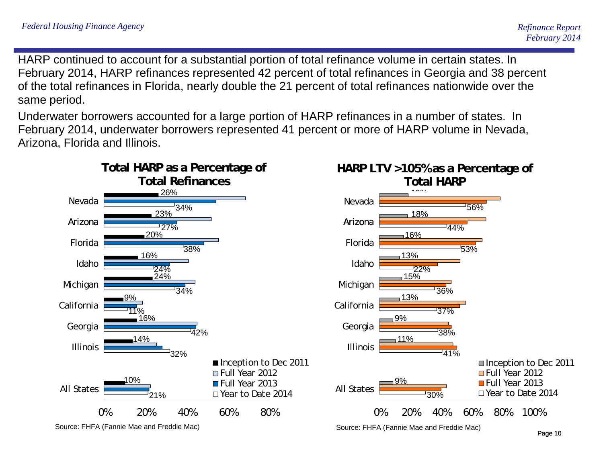HARP continued to account for a substantial portion of total refinance volume in certain states. In February 2014, HARP refinances represented 42 percent of total refinances in Georgia and 38 percent of the total refinances in Florida, nearly double the 21 percent of total refinances nationwide over the same period.

Underwater borrowers accounted for a large portion of HARP refinances in a number of states. In February 2014, underwater borrowers represented 41 percent or more of HARP volume in Nevada, Arizona, Florida and Illinois.

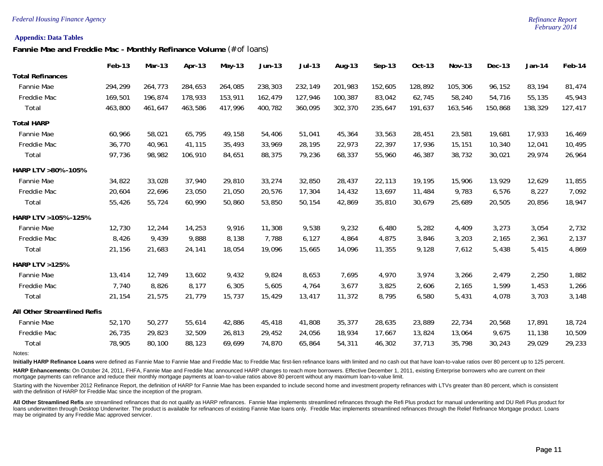#### *Federal Housing Finance Agency Refinance Report*

#### **Appendix: Data Tables**

**Fannie Mae and Freddie Mac - Monthly Refinance Volume** *(# of loans)*

|                             | Feb-13  | Mar-13  | Apr-13  | $May-13$ | Jun-13  | <b>Jul-13</b> | Aug-13  | $Sep-13$ | Oct-13  | <b>Nov-13</b> | Dec-13  | $Jan-14$ | Feb-14  |
|-----------------------------|---------|---------|---------|----------|---------|---------------|---------|----------|---------|---------------|---------|----------|---------|
| <b>Total Refinances</b>     |         |         |         |          |         |               |         |          |         |               |         |          |         |
| Fannie Mae                  | 294,299 | 264,773 | 284,653 | 264,085  | 238,303 | 232,149       | 201,983 | 152,605  | 128,892 | 105,306       | 96,152  | 83,194   | 81,474  |
| Freddie Mac                 | 169,501 | 196,874 | 178,933 | 153,911  | 162,479 | 127,946       | 100,387 | 83,042   | 62,745  | 58,240        | 54,716  | 55,135   | 45,943  |
| Total                       | 463,800 | 461,647 | 463,586 | 417,996  | 400,782 | 360,095       | 302,370 | 235,647  | 191,637 | 163,546       | 150,868 | 138,329  | 127,417 |
| <b>Total HARP</b>           |         |         |         |          |         |               |         |          |         |               |         |          |         |
| Fannie Mae                  | 60,966  | 58,021  | 65,795  | 49,158   | 54,406  | 51,041        | 45,364  | 33,563   | 28,451  | 23,581        | 19,681  | 17,933   | 16,469  |
| Freddie Mac                 | 36,770  | 40,961  | 41,115  | 35,493   | 33,969  | 28,195        | 22,973  | 22,397   | 17,936  | 15,151        | 10,340  | 12,041   | 10,495  |
| Total                       | 97,736  | 98,982  | 106,910 | 84,651   | 88,375  | 79,236        | 68,337  | 55,960   | 46,387  | 38,732        | 30,021  | 29,974   | 26,964  |
| HARP LTV >80% -105%         |         |         |         |          |         |               |         |          |         |               |         |          |         |
| Fannie Mae                  | 34,822  | 33,028  | 37,940  | 29,810   | 33,274  | 32,850        | 28,437  | 22,113   | 19,195  | 15,906        | 13,929  | 12,629   | 11,855  |
| Freddie Mac                 | 20,604  | 22,696  | 23,050  | 21,050   | 20,576  | 17,304        | 14,432  | 13,697   | 11,484  | 9,783         | 6,576   | 8,227    | 7,092   |
| Total                       | 55,426  | 55,724  | 60,990  | 50,860   | 53,850  | 50,154        | 42,869  | 35,810   | 30,679  | 25,689        | 20,505  | 20,856   | 18,947  |
| HARP LTV > 105% - 125%      |         |         |         |          |         |               |         |          |         |               |         |          |         |
| Fannie Mae                  | 12,730  | 12,244  | 14,253  | 9,916    | 11,308  | 9,538         | 9,232   | 6,480    | 5,282   | 4,409         | 3,273   | 3,054    | 2,732   |
| Freddie Mac                 | 8,426   | 9,439   | 9,888   | 8,138    | 7,788   | 6,127         | 4,864   | 4,875    | 3,846   | 3,203         | 2,165   | 2,361    | 2,137   |
| Total                       | 21,156  | 21,683  | 24,141  | 18,054   | 19,096  | 15,665        | 14,096  | 11,355   | 9,128   | 7,612         | 5,438   | 5,415    | 4,869   |
| <b>HARP LTV &gt;125%</b>    |         |         |         |          |         |               |         |          |         |               |         |          |         |
| Fannie Mae                  | 13,414  | 12,749  | 13,602  | 9,432    | 9,824   | 8,653         | 7,695   | 4,970    | 3,974   | 3,266         | 2,479   | 2,250    | 1,882   |
| Freddie Mac                 | 7,740   | 8,826   | 8,177   | 6,305    | 5,605   | 4,764         | 3,677   | 3,825    | 2,606   | 2,165         | 1,599   | 1,453    | 1,266   |
| Total                       | 21,154  | 21,575  | 21,779  | 15,737   | 15,429  | 13,417        | 11,372  | 8,795    | 6,580   | 5,431         | 4,078   | 3,703    | 3,148   |
| All Other Streamlined Refis |         |         |         |          |         |               |         |          |         |               |         |          |         |
| Fannie Mae                  | 52,170  | 50,277  | 55,614  | 42,886   | 45,418  | 41,808        | 35,377  | 28,635   | 23,889  | 22,734        | 20,568  | 17,891   | 18,724  |
| Freddie Mac                 | 26,735  | 29,823  | 32,509  | 26,813   | 29,452  | 24,056        | 18,934  | 17,667   | 13,824  | 13,064        | 9,675   | 11,138   | 10,509  |
| Total                       | 78,905  | 80,100  | 88,123  | 69,699   | 74,870  | 65,864        | 54,311  | 46,302   | 37,713  | 35,798        | 30,243  | 29,029   | 29,233  |
|                             |         |         |         |          |         |               |         |          |         |               |         |          |         |

Notes:

Initially HARP Refinance Loans were defined as Fannie Mae to Fannie Mae and Freddie Mac to Freddie Mac first-lien refinance loans with limited and no cash out that have loan-to-value ratios over 80 percent up to 125 percen

HARP Enhancements: On October 24, 2011, FHFA, Fannie Mae and Freddie Mac announced HARP changes to reach more borrowers. Effective December 1, 2011, existing Enterprise borrowers who are current on their mortgage payments can refinance and reduce their monthly mortgage payments at loan-to-value ratios above 80 percent without any maximum loan-to-value limit.

Starting with the November 2012 Refinance Report, the definition of HARP for Fannie Mae has been expanded to include second home and investment property refinances with LTVs greater than 80 percent, which is consistent with the definition of HARP for Freddie Mac since the inception of the program.

All Other Streamlined Refis are streamlined refinances that do not qualify as HARP refinances. Fannie Mae implements streamlined refinances through the Refi Plus product for manual underwriting and DU Refi Plus product for loans underwritten through Desktop Underwriter. The product is available for refinances of existing Fannie Mae loans only. Freddie Mac implements streamlined refinances through the Relief Refinance Mortgage product. Loans may be originated by any Freddie Mac approved servicer.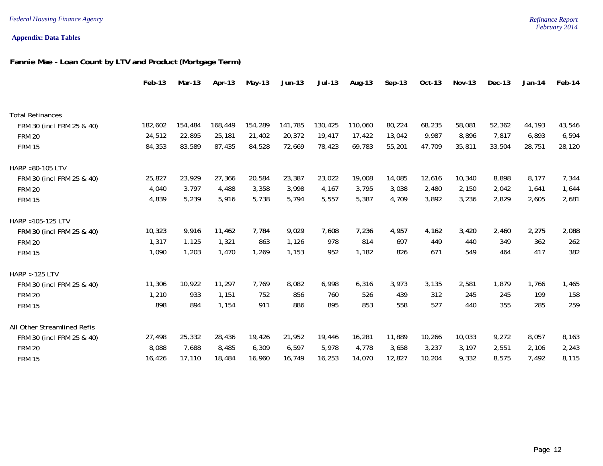#### **Appendix: Data Tables**

#### **Fannie Mae - Loan Count by LTV and Product (Mortgage Term)**

|                             | Feb-13  | $Mar-13$ | Apr-13  | $May-13$ | $Jun-13$ | Jul-13  | Aug-13  | $Sep-13$ | Oct-13 | <b>Nov-13</b> | Dec-13 | $Jan-14$ | Feb-14 |
|-----------------------------|---------|----------|---------|----------|----------|---------|---------|----------|--------|---------------|--------|----------|--------|
|                             |         |          |         |          |          |         |         |          |        |               |        |          |        |
| <b>Total Refinances</b>     |         |          |         |          |          |         |         |          |        |               |        |          |        |
| FRM 30 (incl FRM 25 & 40)   | 182,602 | 154,484  | 168,449 | 154,289  | 141,785  | 130,425 | 110,060 | 80,224   | 68,235 | 58,081        | 52,362 | 44,193   | 43,546 |
| <b>FRM 20</b>               | 24,512  | 22,895   | 25,181  | 21,402   | 20,372   | 19,417  | 17,422  | 13,042   | 9,987  | 8,896         | 7,817  | 6,893    | 6,594  |
| <b>FRM 15</b>               | 84,353  | 83,589   | 87,435  | 84,528   | 72,669   | 78,423  | 69,783  | 55,201   | 47,709 | 35,811        | 33,504 | 28,751   | 28,120 |
| HARP >80-105 LTV            |         |          |         |          |          |         |         |          |        |               |        |          |        |
| FRM 30 (incl FRM 25 & 40)   | 25,827  | 23,929   | 27,366  | 20,584   | 23,387   | 23,022  | 19,008  | 14,085   | 12,616 | 10,340        | 8,898  | 8,177    | 7,344  |
| <b>FRM 20</b>               | 4,040   | 3,797    | 4,488   | 3,358    | 3,998    | 4,167   | 3,795   | 3,038    | 2,480  | 2,150         | 2,042  | 1,641    | 1,644  |
| <b>FRM 15</b>               | 4,839   | 5,239    | 5,916   | 5,738    | 5,794    | 5,557   | 5,387   | 4,709    | 3,892  | 3,236         | 2,829  | 2,605    | 2,681  |
| HARP >105-125 LTV           |         |          |         |          |          |         |         |          |        |               |        |          |        |
| FRM 30 (incl FRM 25 & 40)   | 10,323  | 9,916    | 11,462  | 7,784    | 9,029    | 7,608   | 7,236   | 4,957    | 4,162  | 3,420         | 2,460  | 2,275    | 2,088  |
| <b>FRM 20</b>               | 1,317   | 1,125    | 1,321   | 863      | 1,126    | 978     | 814     | 697      | 449    | 440           | 349    | 362      | 262    |
| <b>FRM 15</b>               | 1,090   | 1,203    | 1,470   | 1,269    | 1,153    | 952     | 1,182   | 826      | 671    | 549           | 464    | 417      | 382    |
| <b>HARP &gt; 125 LTV</b>    |         |          |         |          |          |         |         |          |        |               |        |          |        |
| FRM 30 (incl FRM 25 & 40)   | 11,306  | 10,922   | 11,297  | 7,769    | 8,082    | 6,998   | 6,316   | 3,973    | 3,135  | 2,581         | 1,879  | 1,766    | 1,465  |
| <b>FRM 20</b>               | 1,210   | 933      | 1,151   | 752      | 856      | 760     | 526     | 439      | 312    | 245           | 245    | 199      | 158    |
| <b>FRM 15</b>               | 898     | 894      | 1,154   | 911      | 886      | 895     | 853     | 558      | 527    | 440           | 355    | 285      | 259    |
| All Other Streamlined Refis |         |          |         |          |          |         |         |          |        |               |        |          |        |
| FRM 30 (incl FRM 25 & 40)   | 27,498  | 25,332   | 28,436  | 19,426   | 21,952   | 19,446  | 16,281  | 11,889   | 10,266 | 10,033        | 9,272  | 8,057    | 8,163  |
| <b>FRM 20</b>               | 8,088   | 7,688    | 8,485   | 6,309    | 6,597    | 5,978   | 4,778   | 3,658    | 3,237  | 3,197         | 2,551  | 2,106    | 2,243  |
| <b>FRM 15</b>               | 16,426  | 17,110   | 18,484  | 16,960   | 16,749   | 16,253  | 14,070  | 12,827   | 10,204 | 9,332         | 8,575  | 7,492    | 8,115  |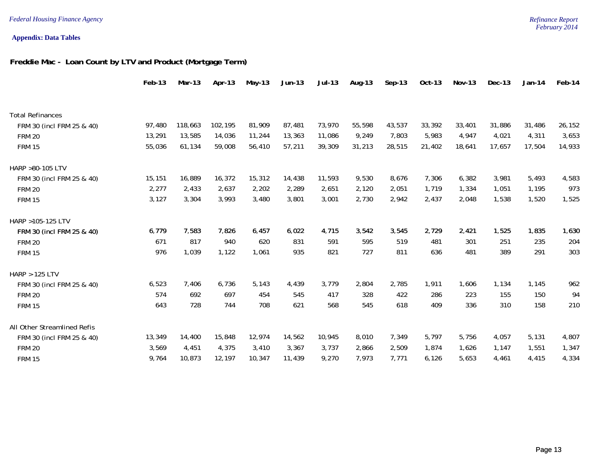#### **Appendix: Data Tables**

#### **Freddie Mac - Loan Count by LTV and Product (Mortgage Term)**

|                             | Feb-13 | Mar-13  | Apr-13  | May-13 | $Jun-13$ | $Jul-13$ | Aug-13 | $Sep-13$ | Oct-13 | Nov-13 | $Dec-13$ | $Jan-14$ | Feb-14 |
|-----------------------------|--------|---------|---------|--------|----------|----------|--------|----------|--------|--------|----------|----------|--------|
|                             |        |         |         |        |          |          |        |          |        |        |          |          |        |
| <b>Total Refinances</b>     |        |         |         |        |          |          |        |          |        |        |          |          |        |
| FRM 30 (incl FRM 25 & 40)   | 97,480 | 118,663 | 102,195 | 81,909 | 87,481   | 73,970   | 55,598 | 43,537   | 33,392 | 33,401 | 31,886   | 31,486   | 26,152 |
| <b>FRM 20</b>               | 13,291 | 13,585  | 14,036  | 11,244 | 13,363   | 11,086   | 9,249  | 7,803    | 5,983  | 4,947  | 4,021    | 4,311    | 3,653  |
| <b>FRM 15</b>               | 55,036 | 61,134  | 59,008  | 56,410 | 57,211   | 39,309   | 31,213 | 28,515   | 21,402 | 18,641 | 17,657   | 17,504   | 14,933 |
| HARP >80-105 LTV            |        |         |         |        |          |          |        |          |        |        |          |          |        |
| FRM 30 (incl FRM 25 & 40)   | 15,151 | 16,889  | 16,372  | 15,312 | 14,438   | 11,593   | 9,530  | 8,676    | 7,306  | 6,382  | 3,981    | 5,493    | 4,583  |
| <b>FRM 20</b>               | 2,277  | 2,433   | 2,637   | 2,202  | 2,289    | 2,651    | 2,120  | 2,051    | 1.719  | 1,334  | 1,051    | 1,195    | 973    |
| <b>FRM 15</b>               | 3,127  | 3,304   | 3,993   | 3,480  | 3,801    | 3,001    | 2,730  | 2,942    | 2,437  | 2,048  | 1,538    | 1,520    | 1,525  |
| HARP >105-125 LTV           |        |         |         |        |          |          |        |          |        |        |          |          |        |
| FRM 30 (incl FRM 25 & 40)   | 6,779  | 7,583   | 7,826   | 6,457  | 6,022    | 4,715    | 3,542  | 3,545    | 2,729  | 2,421  | 1,525    | 1,835    | 1,630  |
| <b>FRM 20</b>               | 671    | 817     | 940     | 620    | 831      | 591      | 595    | 519      | 481    | 301    | 251      | 235      | 204    |
| <b>FRM 15</b>               | 976    | 1,039   | 1,122   | 1,061  | 935      | 821      | 727    | 811      | 636    | 481    | 389      | 291      | 303    |
| <b>HARP &gt; 125 LTV</b>    |        |         |         |        |          |          |        |          |        |        |          |          |        |
| FRM 30 (incl FRM 25 & 40)   | 6,523  | 7,406   | 6,736   | 5,143  | 4,439    | 3,779    | 2,804  | 2,785    | 1,911  | 1,606  | 1,134    | 1,145    | 962    |
| <b>FRM 20</b>               | 574    | 692     | 697     | 454    | 545      | 417      | 328    | 422      | 286    | 223    | 155      | 150      | 94     |
| <b>FRM 15</b>               | 643    | 728     | 744     | 708    | 621      | 568      | 545    | 618      | 409    | 336    | 310      | 158      | 210    |
| All Other Streamlined Refis |        |         |         |        |          |          |        |          |        |        |          |          |        |
| FRM 30 (incl FRM 25 & 40)   | 13,349 | 14,400  | 15,848  | 12,974 | 14,562   | 10,945   | 8,010  | 7,349    | 5,797  | 5,756  | 4,057    | 5,131    | 4,807  |
| <b>FRM 20</b>               | 3,569  | 4,451   | 4,375   | 3,410  | 3,367    | 3,737    | 2,866  | 2,509    | 1,874  | 1,626  | 1,147    | 1,551    | 1,347  |
| <b>FRM 15</b>               | 9,764  | 10,873  | 12,197  | 10,347 | 11,439   | 9,270    | 7,973  | 7,771    | 6,126  | 5,653  | 4,461    | 4,415    | 4,334  |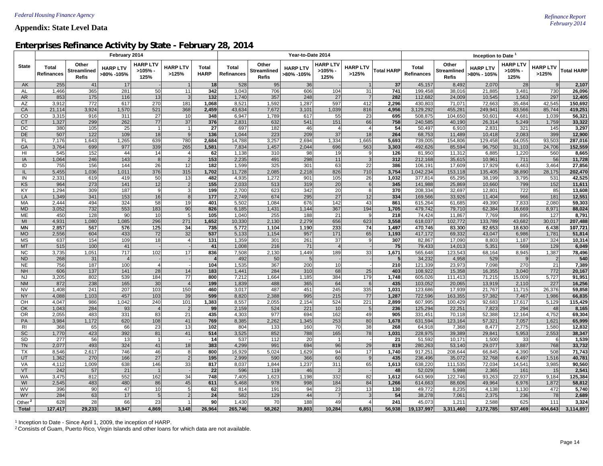#### *February 2014* **Appendix: State Level Data**

#### **Enterprises Refinance Activity by State - February 28, 2014**

|                        |                                   |                                             | February 2014                 |                                  |                          |                      |                            |                                             | Year-to-Date 2014             |                                   |                          | Inception to Date |                                   |                                      |                                |                                      |                          |                    |
|------------------------|-----------------------------------|---------------------------------------------|-------------------------------|----------------------------------|--------------------------|----------------------|----------------------------|---------------------------------------------|-------------------------------|-----------------------------------|--------------------------|-------------------|-----------------------------------|--------------------------------------|--------------------------------|--------------------------------------|--------------------------|--------------------|
| <b>State</b>           | <b>Total</b><br><b>Refinances</b> | Other<br><b>Streamlined</b><br><b>Refis</b> | <b>HARP LTV</b><br>>80% -105% | <b>HARP LTV</b><br>>105%<br>125% | <b>HARP LTV</b><br>>125% | Total<br><b>HARP</b> | Total<br><b>Refinances</b> | Other<br><b>Streamlined</b><br><b>Refis</b> | <b>HARP LTV</b><br>>80% -105% | <b>HARP LTV</b><br>>105%-<br>125% | <b>HARP LTV</b><br>>125% | <b>Total HARP</b> | <b>Total</b><br><b>Refinances</b> | Other<br>Streamlined<br><b>Refis</b> | <b>HARP LTV</b><br>>80% - 105% | <b>HARP LTV</b><br>$>105%$ -<br>125% | <b>HARP LTV</b><br>>125% | <b>Total HARP</b>  |
| AK                     | 255                               | 41                                          | 17                            |                                  | $\overline{1}$           | 18                   | 528                        | 95                                          | 36                            |                                   | $\overline{1}$           | 37                | 45,157                            | 8,492                                | 2,070                          | 28                                   | 9                        | 2,107              |
| AL                     | 1,466                             | 365                                         | 281                           | 50                               | 11                       | 342                  | 3,043                      | 706                                         | 606                           | 104                               | 31                       | 741               | 199,458                           | 38,016                               | 21,885                         | 3,481                                | 730                      | 26,096             |
| AR                     | 853                               | 175                                         | 116                           | 13                               | $\mathbf{3}$             | 132                  | 1,740                      | 357                                         | 248                           | 27                                | $\overline{7}$           | 282               | 112,682                           | 24,009                               | 10,545                         | 1,563                                | 297                      | 12,405             |
| AZ                     | 3,912                             | 772                                         | 617                           | 270                              | 181                      | 1,068                | 8,521                      | 1,592                                       | 1,287                         | 597                               | 412                      | 2,296             | 430,803                           | 71,071                               | 72,663                         | 35,484                               | 42,545                   | 150,692            |
| CA<br>CO               | 21,114<br>3,315                   | 3,924<br>916                                | 1,570<br>311                  | 521<br>27                        | 368<br>10                | 2,459<br>348         | 43,634<br>6,947            | 7,672<br>1,789                              | 3,101<br>617                  | 1,039<br>55                       | 816<br>23                | 4,956<br>695      | 3,129,292<br>508,875              | 455,281<br>104,650                   | 249,941<br>50,601              | 83,566<br>4,681                      | 85,744<br>1,039          | 419,251<br>56,321  |
| <b>CT</b>              | 1,327                             | 299                                         | 262                           | 77                               | 37                       | 376                  | 2,831                      | 632                                         | 541                           | 151                               | 66                       | 758               | 240,585                           | 40,190                               | 26,314                         | 5,249                                | 1,759                    | 33,322             |
| DC                     | 380                               | 105                                         | 25                            | $\overline{1}$                   | $\mathbf{1}$             | 27                   | 697                        | 182                                         | 46                            | $\overline{4}$                    | $\overline{4}$           | 54                | 50,497                            | 6,910                                | 2,831                          | 321                                  | 145                      | 3,297              |
| <b>DE</b>              | 507                               | 122                                         | 109                           | 18                               | 9                        | 136                  | 1,044                      | 223                                         | 209                           | 37                                | 18                       | 264               | 68,753                            | 11,489                               | 10,418                         | 2,083                                | 399                      | 12,900             |
| <b>FL</b>              | 7,176                             | 1,643                                       | 1,265                         | 639                              | 780                      | 2,684                | 14,788                     | 3,257                                       | 2,694                         | 1,334                             | 1,665                    | 5,693             | 739,005                           | 154,806                              | 129,458                        | 64,055                               | 93,503                   | 287,016            |
| GA                     | 3,764                             | 699                                         | 977                           | 339                              | 265                      | 1,581                | 7,834                      | 1,457                                       | 2,044                         | 696                               | 563                      | 3,303             | 492,626                           | 85,594                               | 96,750                         | 31,103                               | 24,706                   | 152,559            |
| HI                     | 545                               | 152                                         | 44                            | 14                               | $\overline{4}$           | 62                   | 1,138                      | 310                                         | 98                            | 19                                | 9                        | 126               | 81,950                            | 11,312                               | 6,885                          | 1,220                                | 560                      | 8,665              |
| IA                     | 1,064                             | 246                                         | 143                           | 8 <sup>1</sup>                   | $\overline{2}$           | 153                  | 2,235                      | 491                                         | 298                           | 11                                | 3 <sup>1</sup>           | 312               | 212,168                           | 35,615                               | 10,961                         | 711                                  | 56                       | 11,728             |
| ID                     | 755                               | 156                                         | 144                           | 26                               | 12                       | 182                  | 1,599                      | 325                                         | 301                           | 63                                | 22                       | 386               | 106,191                           | 17,609                               | 17,929                         | 6,463                                | 3,464                    | 27,856             |
| $\mathbf{II}$          | 5,455                             | 1,036                                       | 1,011                         | 376                              | 315                      | 1,702                | 11,728                     | 2,085                                       | 2,218                         | 826                               | 710                      | 3,754             | 1,042,234                         | 153,118                              | 135,405                        | 38,890                               | 28,175                   | 202,470            |
| IN                     | 2,331                             | 619                                         | 419                           | 50                               | 13                       | 482                  | 4,935                      | 1,272                                       | 901                           | 105                               | 26                       | 1,032             | 377,814                           | 65,295                               | 38,199                         | 3,795                                | 531                      | 42,525             |
| KS                     | 964                               | 273                                         | 141                           | 12                               | $\overline{2}$           | 155                  | 2,033                      | 513                                         | 319                           | 20                                | $6 \mid$                 | 345               | 141,988                           | 25,869                               | 10,660                         | 799                                  | 152                      | 11,611             |
| KY                     | 1,294                             | 309                                         | 187                           | 9 <sup>1</sup>                   | $\overline{3}$           | 199                  | 2,700                      | 623                                         | 342                           | 20                                | 8 <sup>1</sup>           | 370               | 208,334                           | 32,697                               | 12,801                         | 722                                  | 85                       | 13,608             |
| LA                     | 1,349                             | 341                                         | 153                           | 16                               | 8 <sup>1</sup>           | 177                  | 2,749                      | 674                                         | 295                           | 27                                | 12                       | 334               | 169,566                           | 33,926                               | 11,404                         | 966                                  | 181                      | 12,551             |
| MA                     | 2,444                             | 494                                         | 324                           | 58                               | 19                       | 401                  | 5,502                      | 1,084                                       | 676                           | 142                               | 43                       | 861               | 615,264                           | 61,685                               | 49,390                         | 7,833                                | 2,080                    | 59,303             |
| <b>MD</b>              | 3,052                             | 732                                         | 553                           | 183                              | 90                       | 826                  | 6,185                      | 1,431                                       | 1,144                         | 367                               | 194                      | 1,705             | 479,742                           | 79,710                               | 62,384                         | 16,669                               | 8,971                    | 88,024             |
| <b>ME</b>              | 450                               | 128                                         | 90                            | 10                               | 5 <sup>1</sup>           | 105                  | 1,040                      | 255                                         | 188                           | 21                                | 9                        | 218               | 74,424                            | 11,867                               | 7,769                          | 895                                  | 127                      | 8,791              |
| MI<br><b>MN</b>        | 4,931<br>2,857                    | 1,080<br>567                                | 1,085                         | 296                              | 271<br>34                | 1,652<br>735         | 10,330                     | 2,130                                       | 2,279                         | 656<br>233                        | 623<br>74                | 3,558             | 618,037                           | 102,772                              | 133,789                        | 43,682                               | 30,017<br>6,438          | 207,488<br>107,721 |
| <b>MO</b>              | 2,556                             | 604                                         | 576<br>433                    | 125<br>72                        | 32                       | 537                  | 5,772<br>5,133             | 1,104<br>1,154                              | 1,190<br>957                  | 171                               | 65                       | 1,497<br>1,193    | 470,746<br>417,172                | 83,300<br>69,332                     | 82,653<br>43,047               | 18,630<br>6,986                      | 1,781                    | 51,814             |
| <b>MS</b>              | 637                               | 154                                         | 109                           | 18                               | $\overline{4}$           | 131                  | 1,359                      | 301                                         | 261                           | 37                                | 9                        | 307               | 82,867                            | 17,090                               | 8,803                          | 1,187                                | 324                      | 10,314             |
| <b>MT</b>              | 515                               | 100                                         | 41                            |                                  |                          | 41                   | 1,008                      | 216                                         | 71                            | $\overline{4}$                    |                          | 75                | 79,433                            | 14,013                               | 5,351                          | 569                                  | 129                      | 6,049              |
| <b>NC</b>              | 3,735                             | 1,051                                       | 717                           | 102                              | 17                       | 836                  | 7,508                      | 2,130                                       | 1,449                         | 189                               | 33                       | 1,671             | 565,648                           | 123,543                              | 68,164                         | 8,945                                | 1,387                    | 78,496             |
| <b>ND</b>              | 268                               | 31                                          |                               |                                  |                          | $\overline{4}$       | 492                        | 50                                          | 5 <sub>5</sub>                |                                   |                          | 5                 | 34,232                            | 4,958                                | 529                            | 9                                    | $\overline{2}$           | 540                |
| <b>NE</b>              | 756                               | 187                                         | 100                           | $\overline{4}$                   |                          | 104                  | 1,535                      | 367                                         | 200                           | 10                                |                          | 210               | 121,339                           | 23,973                               | 7,098                          | 270                                  | 21                       | 7,389              |
| <b>NH</b>              | 606                               | 137                                         | 141                           | 28                               | 14                       | 183                  | 1,441                      | 284                                         | 310                           | 68                                | 25                       | 403               | 108,922                           | 15,358                               | 16,355                         | 3,040                                | 772                      | 20,167             |
| <b>NJ</b>              | 3,205                             | 802                                         | 539                           | 184                              | 77                       | 800                  | 7,212                      | 1,664                                       | 1,185                         | 384                               | 179                      | 1,748             | 605,026                           | 111,413                              | 71,215                         | 15,009                               | 5,727                    | 91,951             |
| <b>NM</b>              | 872                               | 238                                         | 165                           | 30                               | $\overline{4}$           | 199                  | 1,839                      | 488                                         | 365                           | 64                                | 6                        | 435               | 103,052                           | 20,065                               | 13,919                         | 2,110                                | 227                      | 16,256             |
| <b>NV</b>              | 1,408                             | 241                                         | 207                           | 103                              | 150                      | 460                  | 3,017                      | 487                                         | 451                           | 245                               | 335                      | 1,031             | 123,686                           | 17,939                               | 21,767                         | 11,715                               | 26,376                   | 59,858             |
| <b>NY</b>              | 4,088                             | 1,103                                       | 457                           | 103                              | 39                       | 599                  | 8,820                      | 2,388                                       | 995                           | 215                               | 77                       | 1,287             | 722,596                           | 163,355                              | 57,382                         | 7,467                                | 1,986                    | 66,835             |
| OH                     | 4,047                             | 986                                         | 1,042                         | 240                              | 101                      | 1,383                | 8,557                      | 2,055                                       | 2,154                         | 524                               | 221                      | 2,899             | 607,995                           | 100,429                              | 92,683                         | 17,617                               | 5,129                    | 115,429            |
| OK                     | 1,043                             | 284                                         | 93                            | $\overline{4}$                   | $\overline{2}$           | 99                   | 2,159                      | 524                                         | 221                           | 10                                | 5 <sub>l</sub>           | 236               | 125,294                           | 22,251                               | 7,823                          | 294                                  | 48                       | 8,165              |
| OR                     | 2,055                             | 483                                         | 331                           | 83                               | 21                       | 435                  | 4,303                      | 977                                         | 694                           | 162                               | 49                       | 905               | 331,451                           | 70,118                               | 52,388                         | 12,164                               | 4,752                    | 69,304             |
| PA                     | 3,984                             | 1,172                                       | 620                           | 108                              | 41                       | 769                  | 8,385                      | 2,262                                       | 1,345                         | 253                               | 80                       | 1,678             | 631,594                           | 123,164                              | 57,321                         | 7,057                                | 1,621                    | 65,999             |
| <b>RI</b><br><b>SC</b> | 368<br>1,770                      | 65<br>423                                   | 66<br>392                     | 23<br>81                         | 13<br>41                 | 102<br>514           | 804<br>3,525               | 133<br>852                                  | 160<br>788                    | 70<br>165                         | 38<br>78                 | 268<br>1,031      | 64,918<br>228,975                 | 7,368                                | 8,477                          | 2,775<br>5,953                       | 1,580<br>2,553           | 12,832<br>38,347   |
| <b>SD</b>              | 277                               | 56                                          | 13                            | $\overline{1}$                   |                          | 14                   | 537                        | 112                                         | 20                            | $\mathbf{1}$                      |                          | 21                | 51,592                            | 39,389<br>10,171                     | 29,841<br>1,500                | 33                                   | 6                        |                    |
| <b>TN</b>              | 2,077                             | 493                                         | 324                           | 41                               | 18                       | 383                  | 4,299                      | 991                                         | 694                           | 96                                | 29                       | 819               | 280,263                           | 53,140                               | 29,077                         | 3,887                                | 768                      | 1,539<br>33,732    |
| <b>TX</b>              | 8,546                             | 2,617                                       | 746                           | 46                               | 8                        | 800                  | 16,929                     | 5,024                                       | 1,629                         | 94                                | 17                       | 1,740             | 917,251                           | 208,644                              | 66,845                         | 4,390                                | 508                      | 71,743             |
| UT                     | 1,362                             | 270                                         | 166                           | 27                               | $\overline{2}$           | 195                  | 2,999                      | 590                                         | 366                           | 60                                | $\vert$ 9                | 435               | 236,496                           | 35,072                               | 32,768                         | 6,497                                | 1,516                    | 40,781             |
| VA                     | 4,112                             | 1,009                                       | 638                           | 146                              | 33                       | 817                  | 8,037                      | 1,844                                       | 1,237                         | 311                               | 65                       | 1,613             | 638,220                           | 111,535                              | 72,034                         | 14,541                               | 3,985                    | 90,560             |
| <b>VT</b>              | 242                               | 57                                          | 21                            | $\overline{1}$                   |                          | 22                   | 596                        | 119                                         | 46                            | $\overline{2}$                    |                          | 48                | 52,029                            | 5,998                                | 2,365                          | 161                                  | 15                       | 2,541              |
| <b>WA</b>              | 3,475                             | 812                                         | 552                           | 162                              | 34                       | 748                  | 7,405                      | 1,623                                       | 1,198                         | 332                               | 82                       | 1,612             | 643,969                           | 122,746                              | 93,263                         | 22,937                               | 9,184                    | 125,384            |
| WI                     | 2,545                             | 483                                         | 480                           | 86                               | 45                       | 611                  | 5,468                      | 978                                         | 998                           | 184                               | 84                       | 1,266             | 614,663                           | 88,606                               | 49,964                         | 6,976                                | 1,872                    | 58,812             |
| <b>WV</b>              | 396                               | 90                                          | 47                            | 10                               | 5                        | 62                   | 814                        | 191                                         | 94                            | 23                                | 13                       | 130               | 49,772                            | 8,235                                | 4,138                          | 1,130                                | 472                      | 5,740              |
| <b>WY</b>              | 284                               | 63                                          | 17                            | 5 <sub>l</sub>                   | $\overline{2}$           | 24                   | 582                        | 129                                         | 44                            | $\overline{7}$                    | $\mathbf{3}$             | 54                | 38,278                            | 7,061                                | 2,375                          | 236                                  | 78                       | 2,689              |
| Other <sup>2</sup>     | 628                               | 28                                          | 66                            | 23                               |                          | 90                   | 1,430                      | 70                                          | 188                           | 49                                | 4                        | 241               | 45,073                            | 1,211                                | 2,588                          | 625                                  | 111                      | 3,324              |
| <b>Total</b>           | 127,417                           | 29,233                                      | 18,947                        | 4,869                            | 3,148                    | 26,964               | 265,746                    | 58,262                                      | 39,803                        | 10,284                            | 6,851                    | 56,938            | 19,137,997                        | 3,311,460                            | 2,172,785                      | 537,469                              | 404,643                  | 3,114,897          |

1 Inception to Date - Since April 1, 2009, the inception of HARP.

 $^{\rm 2}$ Consists of Guam, Puerto Rico, Virgin Islands and other loans for which data are not available.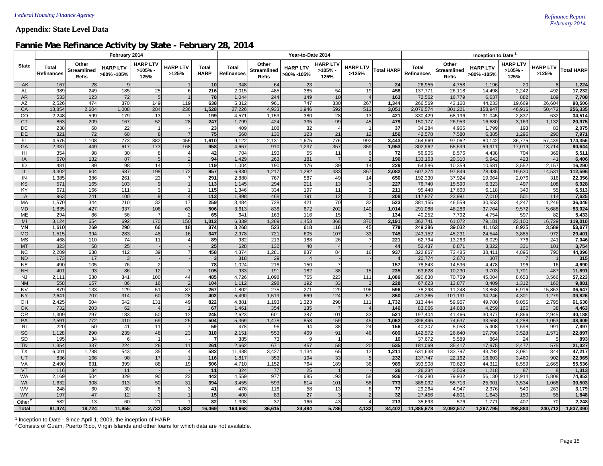#### *February 2014* **Appendix: State Level Data**

### **Fannie Mae Refinance Activity by State - February 28, 2014**

|                    |                            |                                             | February 2014                 |                                  |                          |                      |                                   |                                             | Year-to-Date 2014             |                                      |                          | Inception to Date       |                            |                                             |                               |                                  |                          |                   |
|--------------------|----------------------------|---------------------------------------------|-------------------------------|----------------------------------|--------------------------|----------------------|-----------------------------------|---------------------------------------------|-------------------------------|--------------------------------------|--------------------------|-------------------------|----------------------------|---------------------------------------------|-------------------------------|----------------------------------|--------------------------|-------------------|
| <b>State</b>       | Total<br><b>Refinances</b> | Other<br><b>Streamlined</b><br><b>Refis</b> | <b>HARP LTV</b><br>>80% -105% | <b>HARP LTV</b><br>>105%<br>125% | <b>HARP LTV</b><br>>125% | Total<br><b>HARP</b> | <b>Total</b><br><b>Refinances</b> | Other<br><b>Streamlined</b><br><b>Refis</b> | <b>HARP LTV</b><br>>80% -105% | <b>HARP LTV</b><br>$>105%$ -<br>125% | <b>HARP LTV</b><br>>125% | <b>Total HARP</b>       | Total<br><b>Refinances</b> | Other<br><b>Streamlined</b><br><b>Refis</b> | <b>HARP LTV</b><br>>80% -105% | <b>HARP LTV</b><br>>105%<br>125% | <b>HARP LTV</b><br>>125% | <b>Total HARP</b> |
| AK                 | 167                        | 28                                          | $\mathbf{q}$                  |                                  | 1                        | 10                   | 348                               | 64                                          | 23                            |                                      | 1                        | 24                      | 26,955                     | 4,758                                       | 1,196                         | 20                               | 8                        | 1,224             |
| AL                 | 989                        | 249                                         | 185                           | 25                               | $6 \mid$                 | 216                  | 2,015                             | 485                                         | 385                           | 54                                   | 19                       | 458                     | 137,771                    | 26,118                                      | 14,498                        | 2,242                            | 492                      | 17,232            |
| AR                 | 533                        | 123                                         | 72                            |                                  | 1                        | 78                   | 1,044                             | 244                                         | 149                           | 10                                   | $\overline{4}$           | 163                     | 72,562                     | 16,779                                      | 6,637                         | 882                              | 189                      | 7,708             |
| AZ                 | 2,526                      | 474                                         | 370                           | 149                              | 119                      | 638                  | 5,312                             | 961                                         | 747                           | 330                                  | 267                      | 1,344                   | 266,569                    | 43,160                                      | 44,233                        | 19,669                           | 26,604                   | 90,506            |
| CA                 | 13,854                     | 2,604                                       | 1,008                         | 284                              | 236                      | 1,528                | 27,226                            | 4,933                                       | 1,946                         | 592                                  | 513                      | 3,051                   | 2,076,574                  | 301,221                                     | 158,947                       | 46,916                           | 50,472                   | 256,335           |
| CO                 | 2,248                      | 599                                         | 179                           | 13                               | $\overline{7}$           | 199                  | 4,571                             | 1,153                                       | 380                           | 28                                   | 13                       | 421                     | 330,429                    | 68,196                                      | 31,045                        | 2,837                            | 632                      | 34,514            |
| <b>CT</b>          | 863                        | 209                                         | 167                           | 52                               | 28                       | 247                  | 1,799                             | 424                                         | 335                           | 99                                   | 45                       | 479                     | 150,177                    | 26,953                                      | 16,680                        | 3,163                            | 1,132                    | 20,975            |
| DC                 | 238                        | 68                                          | 22                            |                                  |                          | 23                   | 409                               | 108                                         | 32                            | $\overline{4}$                       | $\mathbf{1}$             | 37                      | 34,284                     | 4,966                                       | 1,799                         | 193                              | 83                       | 2,075             |
| <b>DE</b>          | 321                        | 72                                          | 60                            |                                  | $\overline{7}$           | 75                   | 660                               | 130                                         | 123                           | 21                                   | 12                       | 156                     | 42,578                     | 7,580                                       | 6,385                         | 1,296                            | 290                      | 7,971             |
| <b>FL</b><br>GA    | 4,575<br>2,337             | 1,108<br>449                                | 773<br>617                    | 382<br>173                       | 455<br>168               | 1,610<br>958         | 9,122<br>4,667                    | 2,131<br>910                                | 1,675<br>1,237                | 776<br>357                           | 992<br>359               | 3,443<br>1,953          | 464,969<br>302,962         | 97,062                                      | 80,142<br>59,911              | 36,775<br>17,019                 | 57,439<br>13,714         | 174,356           |
| HI                 | 354                        | 98                                          | 30                            | 8                                | $\overline{4}$           | 42                   | 704                               | 193                                         | 55                            | 11                                   | 6                        | 72                      | 56,905                     | 55,599<br>8,576                             | 4,438                         | 704                              | 369                      | 90,644<br>5,511   |
| IA                 | 670                        | 132                                         | 87                            | $5\overline{5}$                  | $\overline{2}$           | 94                   | 1,429                             | 263                                         | 181                           | $\overline{7}$                       | 2                        | 190                     | 133,163                    | 20,310                                      | 5,942                         | 423                              | 41                       | 6,406             |
| ID                 | 481                        | 89                                          | 98                            | 14                               | $\overline{7}$           | 119                  | 1,004                             | 190                                         | 176                           | 39                                   | 14                       | 229                     | 64,586                     | 10,359                                      | 10,581                        | 3,552                            | 2,157                    | 16,290            |
| IL                 | 3,302                      | 604                                         | 587                           | 198                              | 172                      | 957                  | 6,830                             | 1,217                                       | 1,282                         | 433                                  | 367                      | 2,082                   | 607,374                    | 97,849                                      | 78,435                        | 19,630                           | 14,531                   | 112,596           |
| IN                 | 1,385                      | 386                                         | 261                           | 23                               | $\overline{7}$           | 291                  | 2,880                             | 767                                         | 587                           | 49                                   | 14                       | 650                     | 192,330                    | 37,924                                      | 19,964                        | 2,076                            | 316                      | 22,356            |
| KS                 | 571                        | 165                                         | 103                           | 9                                | 1                        | $\overline{113}$     | 1,145                             | 294                                         | 211                           | 13                                   | 3                        | 227                     | 76,740                     | 15,590                                      | 6,323                         | 497                              | 108                      | 6,928             |
| KY                 | 671                        | 166                                         | 111                           | 3                                | 1                        | 115                  | 1,346                             | 334                                         | 197                           | 11                                   | 3 <sup>1</sup>           | 211                     | 95,448                     | 17,660                                      | 6,118                         | 340                              | 55                       | 6,513             |
| LA                 | 963                        | 241                                         | 100                           |                                  | $\overline{4}$           | 113                  | 1,898                             | 468                                         | 191                           | 12                                   | 5 <sup>1</sup>           | 208                     | 117,827                    | 23,991                                      | 7,010                         | 501                              | 114                      | 7,625             |
| MA                 | 1,570                      | 344                                         | 210                           | 32                               | 17                       | 259                  | 3,484                             | 728                                         | 421                           | 70                                   | 32                       | 523                     | 381,155                    | 46,559                                      | 30,553                        | 4,247                            | 1,246                    | 36,046            |
| <b>MD</b>          | 1,835                      | 427                                         | 337                           | 106                              | 63                       | 506                  | 3,613                             | 836                                         | 672                           | 202                                  | 140                      | 1,014                   | 291,088                    | 48,286                                      | 37,764                        | 9,572                            | 5,688                    | 53,024            |
| <b>ME</b>          | 294                        | 86                                          | 56                            |                                  | $\overline{2}$           | 65                   | 641                               | 163                                         | 116                           | 15                                   | 3 <sup>l</sup>           | 134                     | 40,252                     | 7,792                                       | 4,754                         | 597                              | 82                       | 5,433             |
| MI                 | 3,124                      | 654                                         | 692                           | 170                              | 150                      | 1,012                | 6,339                             | 1,289                                       | 1,453                         | 368                                  | 370                      | 2,191                   | 362,741                    | 61,072                                      | 79,181                        | 23,100                           | 16,729                   | 119,010           |
| MN                 | 1,610                      | 269                                         | 290                           | 66                               | 18                       | 374                  | 3,268                             | 523                                         | 618                           | 116                                  | 45                       | 779                     | 249,386                    | 39,032                                      | 41,163                        | 8,925                            | 3,589                    | 53,677            |
| <b>MO</b>          | 1,515                      | 394                                         | 283                           | 48                               | 16                       | 347                  | 2,978                             | 721                                         | 605                           | 107                                  | 33                       | 745                     | 243,152                    | 45,231                                      | 24,544                        | 3,885                            | 972                      | 29,401            |
| <b>MS</b>          | 468                        | 110                                         | 74                            | 11                               | $\overline{4}$           | 89                   | 982                               | 213                                         | 188                           | 26                                   | $\overline{7}$           | 221                     | 62,794                     | 13,263                                      | 6,029                         | 776                              | 241                      | 7,046             |
| <b>MT</b>          | 323                        | 58                                          | 25                            |                                  |                          | 25                   | 628                               | 132                                         | 40                            | $\overline{4}$                       |                          | 44                      | 52,437                     | 8,871                                       | 3,322                         | 331                              | 101                      | 3,754             |
| <b>NC</b>          | 2,209                      | 638                                         | 412                           | 39                               | $\overline{7}$           | 458                  | 4,374                             | 1,281                                       | 837                           | 84                                   | 16                       | 937                     | 322,867                    | 73,485                                      | 38,411                        | 4,895                            | 790                      | 44,096            |
| <b>ND</b>          | 173                        | 17                                          | 3                             |                                  |                          | دى                   | 318                               | 29                                          | $\overline{4}$                |                                      |                          | $\overline{\mathbf{4}}$ | 20,774                     | 2,670                                       | 307                           | $\overline{7}$                   | $\overline{1}$           | 315               |
| <b>NE</b>          | 490                        | 105                                         | 76                            | 2                                |                          | 78                   | 1,024                             | 216                                         | 150                           | $\overline{7}$                       |                          | 157                     | 78,843                     | 14,596                                      | 4,478                         | 196                              | 16                       | 4,690             |
| <b>NH</b>          | 401                        | 93                                          | 86                            | 12                               | $\overline{7}$           | 105                  | 933                               | 191                                         | 182                           | 38                                   | 15                       | 235                     | 63,628                     | 10,230                                      | 9,703                         | 1,701                            | 487                      | 11,891            |
| <b>NJ</b>          | 2,111                      | 530                                         | 341                           | 100                              | 44                       | 485                  | 4,726                             | 1,098                                       | 755                           | 223                                  | 111                      | 1,089                   | 390,630                    | 70,759                                      | 45,004                        | 8,653                            | 3,566                    | 57,223            |
| <b>NM</b>          | 558                        | 157                                         | 86                            | 16                               | $\overline{2}$           | 104                  | 1,112                             | 298                                         | 192                           | 33                                   | $\overline{3}$           | 228                     | 67,623                     | 13,877                                      | 8,409                         | 1,312                            | 160                      | 9,881             |
| <b>NV</b>          | 879                        | 133                                         | 129                           | 51                               | 87                       | 267                  | 1,802                             | 275                                         | 271                           | 129                                  | 196                      | 596                     | 78,298                     | 11,248                                      | 13,868                        | 6,916                            | 15,863                   | 36,647            |
| <b>NY</b>          | 2,641                      | 707                                         | 314                           | 60                               | 28                       | 402                  | 5,490                             | 1,519                                       | 669                           | 124                                  | 57                       | 850                     | 461,365                    | 101,191                                     | 34,246                        | 4,301                            | 1,279                    | 39,826            |
| OH                 | 2,425                      | 604                                         | 642                           | 131                              | 49                       | 822                  | 4,881                             | 1,193                                       | 1,323                         | 298                                  | 111                      | 1,732                   | 313,444                    | 59,957                                      | 49,780                        | 9,055                            | 2,795                    | 61,630            |
| OK                 | 732                        | 203                                         | 62                            | $\Delta$                         | 1                        | 67                   | 1,461                             | 354                                         | 135                           | $\overline{7}$                       | $\vert 4 \vert$          | 146                     | 83,066                     | 14,888                                      | 4,259                         | 166                              | 38                       | 4,463             |
| <b>OR</b>          | 1,309                      | 297                                         | 183                           | 50                               | 12                       | 245                  | 2,623                             | 601                                         | 387                           | 101                                  | 33                       | 521                     | 197,404                    | 41,466                                      | 30,377                        | 6,866                            | 2,945                    | 40,188            |
| PA                 | 2,591                      | 772                                         | 410                           | 69                               | 25                       | 504                  | 5,369                             | 1,478                                       | 858                           | 159                                  | 45                       | 1,062                   | 396,496                    | 74,637                                      | 33,568                        | 4,288                            | 1,053                    | 38,909            |
| R <sub>1</sub>     | 220                        | 50                                          | 41                            | 11                               | $\overline{7}$           | 59                   | 478                               | 96                                          | 94                            | 38                                   | 24                       | 156                     | 40,307                     | 5,053                                       | 5,408                         | 1,598                            | 991                      | 7,997             |
| SC                 | 1,128                      | 290                                         | 239                           | 48                               | 23                       | 310                  | 2,151                             | 553                                         | 469                           | 91                                   | 46                       | 606                     | 142,572                    | 26,640                                      | 17,798                        | 3,528                            | 1,571                    | 22,897            |
| SD                 | 195                        | 34                                          |                               |                                  |                          | $\overline{7}$       | 385                               | 73                                          | 9                             | $\overline{1}$                       |                          | 10                      | 37,672                     | 5,589                                       | 864                           | 24                               | 5                        | 893               |
| <b>TN</b>          | 1,354                      | 337                                         | 224                           | 26                               | 11                       | 261                  | 2,662                             | 671                                         | 457                           | 58                                   | 20                       | 535                     | 181,069                    | 35,417                                      | 17,975                        | 2,477                            | 575                      | 21,027            |
| <b>TX</b>          | 6,001                      | 1,788                                       | 543                           | 35                               | $\overline{4}$           | 582                  | 11,488                            | 3,427                                       | 1,134                         | 65                                   | 12                       | 1,211                   | 631,638                    | 133,797                                     | 43,792                        | 3.081                            | 344                      | 47,217            |
| <b>UT</b>          | 836                        | 166                                         | 98                            | 17                               | 1                        | 116                  | 1,817                             | 353                                         | 194                           | 33                                   | 5 <sup>1</sup>           | 232                     | 137,747                    | 22,162                                      | 18,603                        | 3,460                            | 902                      | 22,965            |
| <b>VA</b>          | 2,490                      | 631                                         | 399                           | 88                               | 19                       | 506                  | 4,710                             | 1,152                                       | 764                           | 189                                  | 36                       | 989                     | 393,908                    | 70,620                                      | 44,312                        | 8,559                            | 2,665                    | 55,536            |
| VT                 | 116                        | 34                                          | 11                            |                                  |                          | 11                   | 324                               | 77                                          | 25                            | $\overline{1}$                       | $\sim$                   | 26                      | 26,334                     | 3,509                                       | 1,218                         | 87                               | 8                        | 1,313             |
| <b>WA</b>          | 2,169                      | 504                                         | 329                           | 90<br>50                         | 23                       | 442                  | 4,559                             | 977                                         | 685<br>614                    | 193<br>101                           | 58                       | 936                     | 406,280                    | 79,932                                      | 56,130                        | 12,914                           | 5,808                    | 74,852            |
| WI<br>WV           | 1,632                      | 308<br>60                                   | 313                           | 8                                | 31<br>$\overline{3}$     | 394<br>41            | 3,455<br>476                      | 593<br>116                                  |                               |                                      | 58<br>$6 \overline{6}$   | 773<br>77               | 388,092                    | 55,713                                      | 25,901<br>2,376               | 3,534<br>540                     | 1,068                    | 30,503<br>3,179   |
| WY                 | 248<br>197                 | 47                                          | 30<br>12                      |                                  |                          | 15                   | 400                               | 83                                          | 58<br>27                      | 13<br>3                              | 2                        | 32                      | 29,264<br>27,456           | 4,947<br>4,801                              | 1,643                         | 150                              | 263<br>55                | 1,848             |
|                    | 582                        | 13                                          | 60                            | 21                               | $\mathbf{1}$             | 82                   | 1,308                             | 37                                          | 166                           | 43                                   | $\overline{4}$           | 213                     | 35,693                     | 576                                         | 1,771                         | 407                              | 70                       | 2,248             |
| Other <sup>2</sup> | 81,474                     | 18,724                                      | 11,855                        | 2,732                            | 1.882                    | 16,469               | 164,668                           | 36,615                                      | 24,484                        | 5,786                                | 4,132                    | 34,402                  |                            | 2,092,517                                   |                               | 298,883                          | 240,712                  | 1,837,390         |
| <b>Total</b>       |                            |                                             |                               |                                  |                          |                      |                                   |                                             |                               |                                      |                          |                         | 11,885,678                 |                                             | 1,297,795                     |                                  |                          |                   |

1 Inception to Date - Since April 1, 2009, the inception of HARP.

2 Consists of Guam, Puerto Rico, Virgin Islands and other loans for which data are not available.